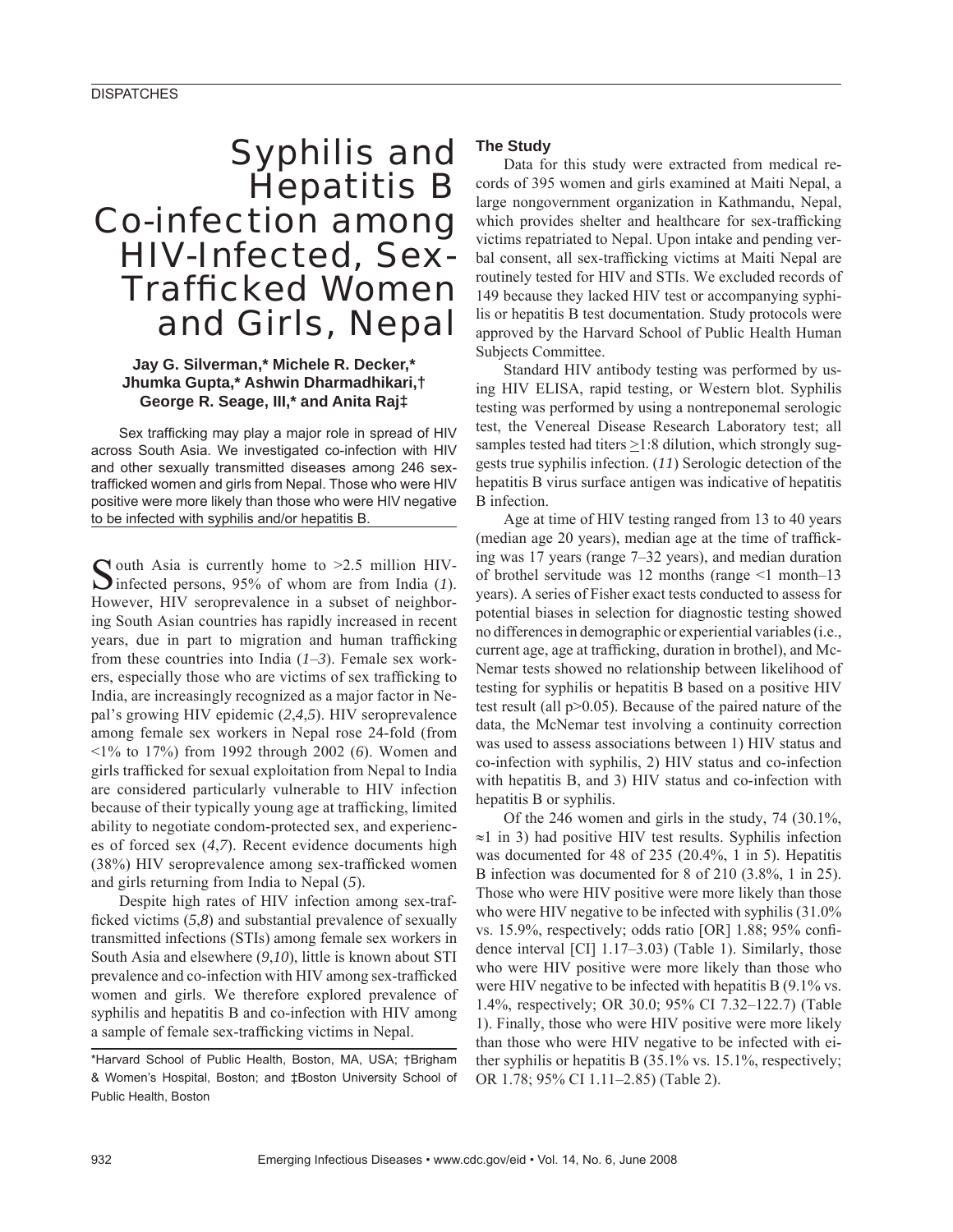# Syphilis and Hepatitis B Co-infection among HIV-Infected, Sex-**Trafficked Women** and Girls, Nepal

# **Jay G. Silverman,\* Michele R. Decker,\* Jhumka Gupta,\* Ashwin Dharmadhikari,† George R. Seage, III,\* and Anita Raj‡**

Sex trafficking may play a major role in spread of HIV across South Asia. We investigated co-infection with HIV and other sexually transmitted diseases among 246 sextrafficked women and girls from Nepal. Those who were HIV positive were more likely than those who were HIV negative to be infected with syphilis and/or hepatitis B.

South Asia is currently home to >2.5 million HIV-<br>infected persons, 95% of whom are from India (*1*). However, HIV seroprevalence in a subset of neighboring South Asian countries has rapidly increased in recent years, due in part to migration and human trafficking from these countries into India (*1*–*3*). Female sex workers, especially those who are victims of sex trafficking to India, are increasingly recognized as a major factor in Nepal's growing HIV epidemic (*2*,*4*,*5*). HIV seroprevalence among female sex workers in Nepal rose 24-fold (from <1% to 17%) from 1992 through 2002 (*6*). Women and girls trafficked for sexual exploitation from Nepal to India are considered particularly vulnerable to HIV infection because of their typically young age at trafficking, limited ability to negotiate condom-protected sex, and experiences of forced sex (*4*,*7*). Recent evidence documents high (38%) HIV seroprevalence among sex-trafficked women and girls returning from India to Nepal (*5*).

Despite high rates of HIV infection among sex-trafficked victims  $(5,8)$  and substantial prevalence of sexually transmitted infections (STIs) among female sex workers in South Asia and elsewhere (*9*,*10*), little is known about STI prevalence and co-infection with HIV among sex-trafficked women and girls. We therefore explored prevalence of syphilis and hepatitis B and co-infection with HIV among a sample of female sex-trafficking victims in Nepal.

# **The Study**

Data for this study were extracted from medical records of 395 women and girls examined at Maiti Nepal, a large nongovernment organization in Kathmandu, Nepal, which provides shelter and healthcare for sex-trafficking victims repatriated to Nepal. Upon intake and pending verbal consent, all sex-trafficking victims at Maiti Nepal are routinely tested for HIV and STIs. We excluded records of 149 because they lacked HIV test or accompanying syphilis or hepatitis B test documentation. Study protocols were approved by the Harvard School of Public Health Human Subjects Committee.

Standard HIV antibody testing was performed by using HIV ELISA, rapid testing, or Western blot. Syphilis testing was performed by using a nontreponemal serologic test, the Venereal Disease Research Laboratory test; all samples tested had titers  $\geq$ 1:8 dilution, which strongly suggests true syphilis infection. (*11*) Serologic detection of the hepatitis B virus surface antigen was indicative of hepatitis B infection.

Age at time of HIV testing ranged from 13 to 40 years (median age 20 years), median age at the time of trafficking was 17 years (range 7–32 years), and median duration of brothel servitude was 12 months (range  $\leq 1$  month-13 years). A series of Fisher exact tests conducted to assess for potential biases in selection for diagnostic testing showed no differences in demographic or experiential variables (i.e., current age, age at trafficking, duration in brothel), and Mc-Nemar tests showed no relationship between likelihood of testing for syphilis or hepatitis B based on a positive HIV test result (all p>0.05). Because of the paired nature of the data, the McNemar test involving a continuity correction was used to assess associations between 1) HIV status and co-infection with syphilis, 2) HIV status and co-infection with hepatitis B, and 3) HIV status and co-infection with hepatitis B or syphilis.

Of the 246 women and girls in the study, 74 (30.1%, ≈1 in 3) had positive HIV test results. Syphilis infection was documented for 48 of 235 (20.4%, 1 in 5). Hepatitis B infection was documented for 8 of 210 (3.8%, 1 in 25). Those who were HIV positive were more likely than those who were HIV negative to be infected with syphilis  $(31.0\%$ vs. 15.9%, respectively; odds ratio [OR] 1.88; 95% confidence interval [CI] 1.17–3.03) (Table 1). Similarly, those who were HIV positive were more likely than those who were HIV negative to be infected with hepatitis B (9.1% vs. 1.4%, respectively; OR 30.0; 95% CI 7.32–122.7) (Table 1). Finally, those who were HIV positive were more likely than those who were HIV negative to be infected with either syphilis or hepatitis B (35.1% vs. 15.1%, respectively; OR 1.78; 95% CI 1.11–2.85) (Table 2).

<sup>\*</sup>Harvard School of Public Health, Boston, MA, USA; †Brigham & Women's Hospital, Boston; and ‡Boston University School of Public Health, Boston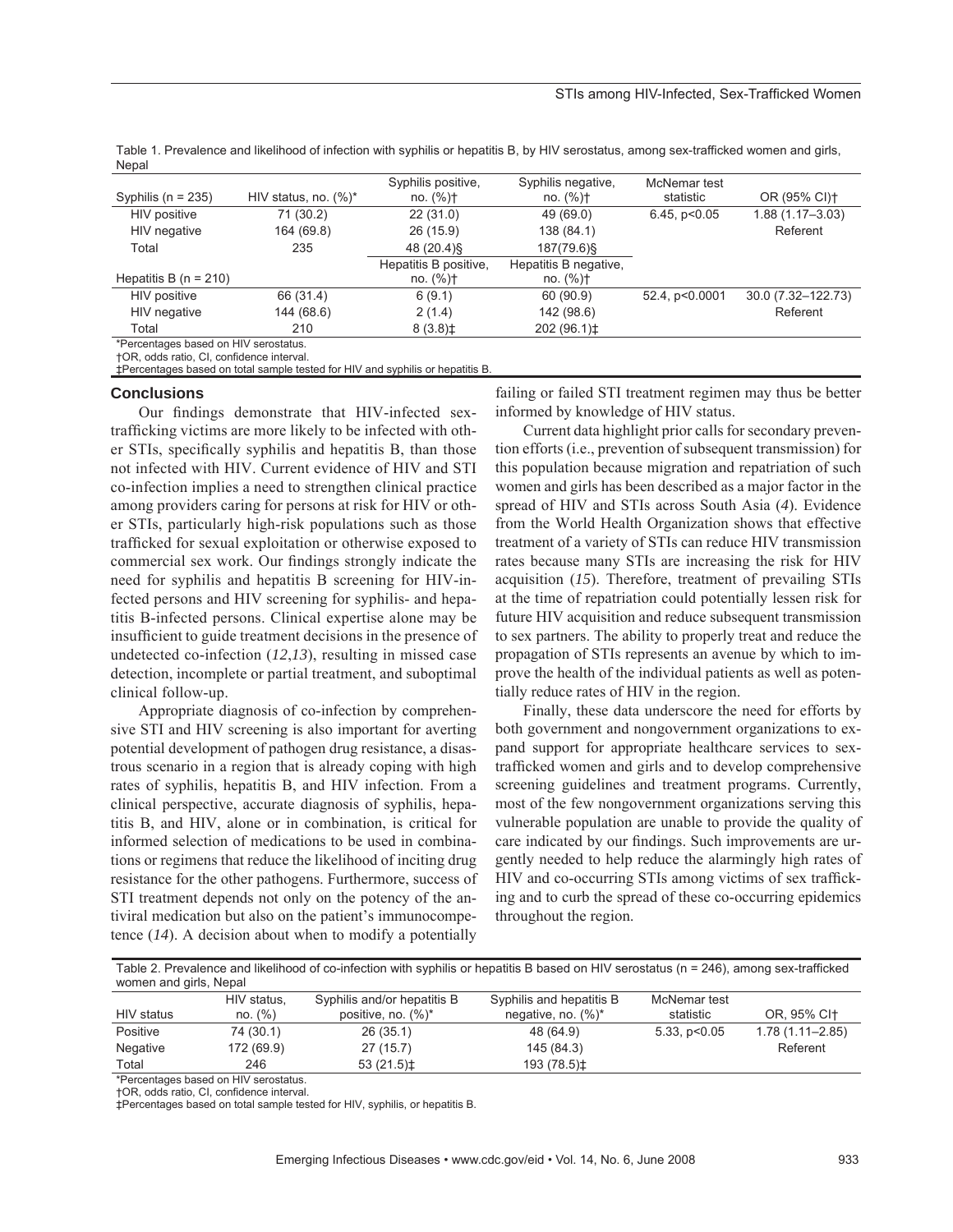| Syphilis ( $n = 235$ )<br>HIV status, no. $(\%)^*$ |            | Syphilis positive,<br>$no. (%)+$ | Syphilis negative,<br>$no. (%)+$ | McNemar test<br>statistic | OR (95% CI) <sup>+</sup> |
|----------------------------------------------------|------------|----------------------------------|----------------------------------|---------------------------|--------------------------|
| HIV positive                                       | 71 (30.2)  |                                  | 49 (69.0)                        | 6.45, p<0.05              | $1.88(1.17 - 3.03)$      |
| HIV negative<br>164 (69.8)                         |            | 26 (15.9)                        | 138 (84.1)                       |                           | Referent                 |
| Total                                              | 235        | 48 (20.4) \$                     | 187(79.6)§                       |                           |                          |
|                                                    |            | Hepatitis B positive.            | Hepatitis B negative,            |                           |                          |
| Hepatitis B $(n = 210)$                            |            | $no. (%)+$                       | $no. (%)+$                       |                           |                          |
| HIV positive                                       | 66 (31.4)  | 6(9.1)                           | 60 (90.9)                        | 52.4, p<0.0001            | 30.0 (7.32-122.73)       |
| HIV negative                                       | 144 (68.6) | 2(1.4)                           | 142 (98.6)                       |                           | Referent                 |
| Total                                              | 210        | $8(3.8)$ ‡                       | 202(96.1)                        |                           |                          |
| *Percentages based on HIV serostatus               |            |                                  |                                  |                           |                          |

Table 1. Prevalence and likelihood of infection with syphilis or hepatitis B, by HIV serostatus, among sex-trafficked women and girls, **Nepal** 

\*Percentages based on HIV serostatus.

†OR, odds ratio, CI, confidence interval. ‡Percentages based on total sample tested for HIV and syphilis or hepatitis B.

#### **Conclusions**

Our findings demonstrate that HIV-infected sextrafficking victims are more likely to be infected with other STIs, specifically syphilis and hepatitis B, than those not infected with HIV. Current evidence of HIV and STI co-infection implies a need to strengthen clinical practice among providers caring for persons at risk for HIV or other STIs, particularly high-risk populations such as those trafficked for sexual exploitation or otherwise exposed to commercial sex work. Our findings strongly indicate the need for syphilis and hepatitis B screening for HIV-infected persons and HIV screening for syphilis- and hepatitis B-infected persons. Clinical expertise alone may be insufficient to guide treatment decisions in the presence of undetected co-infection (*12*,*13*), resulting in missed case detection, incomplete or partial treatment, and suboptimal clinical follow-up.

Appropriate diagnosis of co-infection by comprehensive STI and HIV screening is also important for averting potential development of pathogen drug resistance, a disastrous scenario in a region that is already coping with high rates of syphilis, hepatitis B, and HIV infection. From a clinical perspective, accurate diagnosis of syphilis, hepatitis B, and HIV, alone or in combination, is critical for informed selection of medications to be used in combinations or regimens that reduce the likelihood of inciting drug resistance for the other pathogens. Furthermore, success of STI treatment depends not only on the potency of the antiviral medication but also on the patient's immunocompetence (*14*). A decision about when to modify a potentially

failing or failed STI treatment regimen may thus be better informed by knowledge of HIV status.

Current data highlight prior calls for secondary prevention efforts (i.e., prevention of subsequent transmission) for this population because migration and repatriation of such women and girls has been described as a major factor in the spread of HIV and STIs across South Asia (*4*). Evidence from the World Health Organization shows that effective treatment of a variety of STIs can reduce HIV transmission rates because many STIs are increasing the risk for HIV acquisition (*15*). Therefore, treatment of prevailing STIs at the time of repatriation could potentially lessen risk for future HIV acquisition and reduce subsequent transmission to sex partners. The ability to properly treat and reduce the propagation of STIs represents an avenue by which to improve the health of the individual patients as well as potentially reduce rates of HIV in the region.

Finally, these data underscore the need for efforts by both government and nongovernment organizations to expand support for appropriate healthcare services to sextrafficked women and girls and to develop comprehensive screening guidelines and treatment programs. Currently, most of the few nongovernment organizations serving this vulnerable population are unable to provide the quality of care indicated by our findings. Such improvements are urgently needed to help reduce the alarmingly high rates of HIV and co-occurring STIs among victims of sex trafficking and to curb the spread of these co-occurring epidemics throughout the region.

| Table 2. Prevalence and likelihood of co-infection with syphilis or hepatitis B based on HIV serostatus (n = 246), among sex-trafficked |  |
|-----------------------------------------------------------------------------------------------------------------------------------------|--|
| women and girls, Nepal                                                                                                                  |  |

| HIV status | HIV status,<br>no. (%) | Syphilis and/or hepatitis B<br>positive, no. $(\%)^*$ | Syphilis and hepatitis B<br>negative, no. $(\%)^*$ | McNemar test<br>statistic | OR. 95% CI <sup>+</sup> |
|------------|------------------------|-------------------------------------------------------|----------------------------------------------------|---------------------------|-------------------------|
| Positive   | 74 (30.1)              | 26(35.1)                                              | 48 (64.9)                                          | 5.33, p<0.05              | $1.78(1.11 - 2.85)$     |
| Negative   | 172 (69.9)             | 27(15.7)                                              | 145 (84.3)                                         |                           | Referent                |
| Total      | 246                    | 53 (21.5)‡                                            | 193 (78.5)‡                                        |                           |                         |

\*Percentages based on HIV serostatus.

†OR, odds ratio, CI, confidence interval.

‡Percentages based on total sample tested for HIV, syphilis, or hepatitis B.